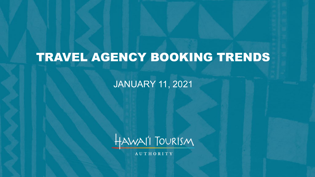# TRAVEL AGENCY BOOKING TRENDS

JANUARY 11, 2021



**AUTHORITY**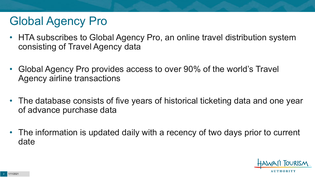## Global Agency Pro

- HTA subscribes to Global Agency Pro, an online travel distribution system consisting of Travel Agency data
- Global Agency Pro provides access to over 90% of the world's Travel Agency airline transactions
- The database consists of five years of historical ticketing data and one year of advance purchase data
- The information is updated daily with a recency of two days prior to current date

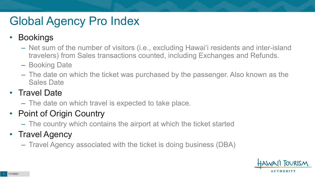# Global Agency Pro Index

#### • Bookings

- Net sum of the number of visitors (i.e., excluding Hawai'i residents and inter-island travelers) from Sales transactions counted, including Exchanges and Refunds.
- Booking Date
- The date on which the ticket was purchased by the passenger. Also known as the Sales Date

#### • Travel Date

– The date on which travel is expected to take place.

#### • Point of Origin Country

– The country which contains the airport at which the ticket started

#### • Travel Agency

– Travel Agency associated with the ticket is doing business (DBA)

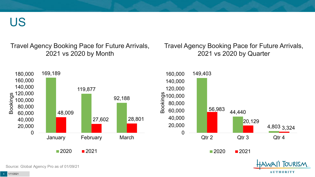US

Travel Agency Booking Pace for Future Arrivals, 2021 vs 2020 by Month

Travel Agency Booking Pace for Future Arrivals, 2021 vs 2020 by Quarter

**AUTHORITY** 



Source: Global Agency Pro as of 01/09/21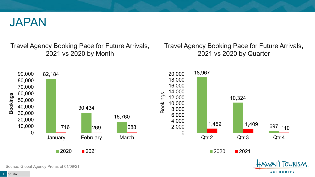

Travel Agency Booking Pace for Future Arrivals, 2021 vs 2020 by Month

Travel Agency Booking Pace for Future Arrivals, 2021 vs 2020 by Quarter

**AUTHORITY** 



Source: Global Agency Pro as of 01/09/21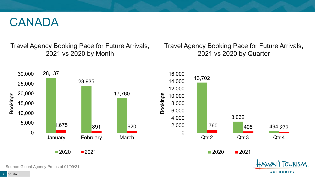#### CANADA

Travel Agency Booking Pace for Future Arrivals, 2021 vs 2020 by Month

Travel Agency Booking Pace for Future Arrivals, 2021 vs 2020 by Quarter

**AUTHORITY** 



Source: Global Agency Pro as of 01/09/21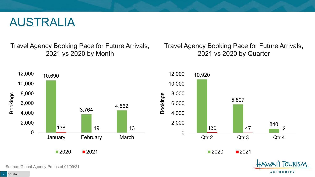#### AUSTRALIA

Travel Agency Booking Pace for Future Arrivals, 2021 vs 2020 by Month

Travel Agency Booking Pace for Future Arrivals, 2021 vs 2020 by Quarter

**AUTHORITY** 



Source: Global Agency Pro as of 01/09/21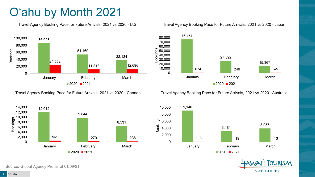## O'ahu by Month 2021

Travel Agency Booking Pace for Future Arrivals, 2021 vs 2020 - U.S.



Travel Agency Booking Pace for Future Arrivals, 2021 vs 2020 - Canada



#### Travel Agency Booking Pace for Future Arrivals, 2021 vs 2020 - Japan



Travel Agency Booking Pace for Future Arrivals, 2021 vs 2020 - Australia





Source: Global Agency Pro as of 01/09/21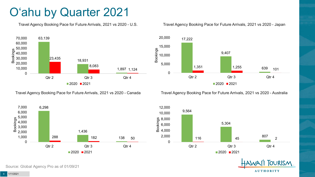#### O'ahu by Quarter 2021

Travel Agency Booking Pace for Future Arrivals, 2021 vs 2020 - U.S.



Travel Agency Booking Pace for Future Arrivals, 2021 vs 2020 - Canada



Travel Agency Booking Pace for Future Arrivals, 2021 vs 2020 - Japan



Travel Agency Booking Pace for Future Arrivals, 2021 vs 2020 - Australia



**OURISM AUTHORITY** 

Source: Global Agency Pro as of 01/09/21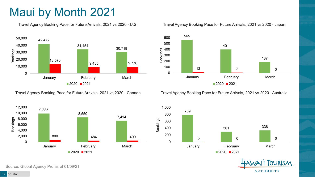### Maui by Month 2021

Travel Agency Booking Pace for Future Arrivals, 2021 vs 2020 - U.S.



Travel Agency Booking Pace for Future Arrivals, 2021 vs 2020 - Canada



565 600



Travel Agency Booking Pace for Future Arrivals, 2021 vs 2020 - Japan

Travel Agency Booking Pace for Future Arrivals, 2021 vs 2020 - Australia





Source: Global Agency Pro as of 01/09/21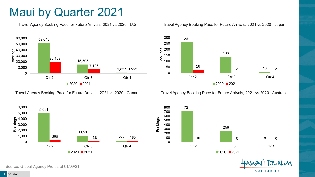#### Maui by Quarter 2021

Travel Agency Booking Pace for Future Arrivals, 2021 vs 2020 - U.S.



Travel Agency Booking Pace for Future Arrivals, 2021 vs 2020 - Canada





Travel Agency Booking Pace for Future Arrivals, 2021 vs 2020 - Australia







Source: Global Agency Pro as of 01/09/21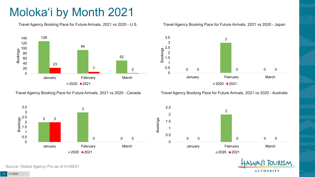## Moloka'i by Month 2021

Travel Agency Booking Pace for Future Arrivals, 2021 vs 2020 - U.S.



Travel Agency Booking Pace for Future Arrivals, 2021 vs 2020 - Canada





Travel Agency Booking Pace for Future Arrivals, 2021 vs 2020 - Australia





**TOURISM AUTHORITY** 

Source: Global Agency Pro as of 01/09/21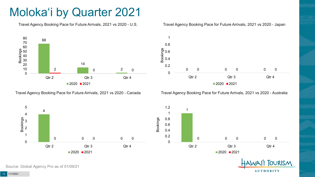### Moloka'i by Quarter 2021

Travel Agency Booking Pace for Future Arrivals, 2021 vs 2020 - U.S.



Travel Agency Booking Pace for Future Arrivals, 2021 vs 2020 - Canada





Travel Agency Booking Pace for Future Arrivals, 2021 vs 2020 - Australia

 $2020$  2021



**TOURISM AUTHORITY** 

Source: Global Agency Pro as of 01/09/21

0

4

5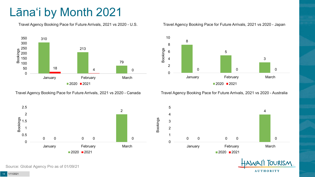### Lāna'i by Month 2021

Travel Agency Booking Pace for Future Arrivals, 2021 vs 2020 - U.S.



Travel Agency Booking Pace for Future Arrivals, 2021 vs 2020 - Canada





Travel Agency Booking Pace for Future Arrivals, 2021 vs 2020 - Australia





TOURISM. **AUTHORITY** 

Source: Global Agency Pro as of 01/09/21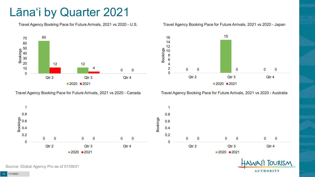#### Lāna'i by Quarter 2021

Travel Agency Booking Pace for Future Arrivals, 2021 vs 2020 - U.S.



Travel Agency Booking Pace for Future Arrivals, 2021 vs 2020 - Canada





Travel Agency Booking Pace for Future Arrivals, 2021 vs 2020 - Australia





Source: Global Agency Pro as of 01/09/21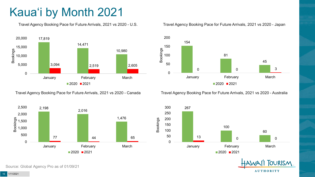## Kaua'i by Month 2021

Travel Agency Booking Pace for Future Arrivals, 2021 vs 2020 - U.S.



Travel Agency Booking Pace for Future Arrivals, 2021 vs 2020 - Canada



Source: Global Agency Pro as of 01/09/21

#### Travel Agency Booking Pace for Future Arrivals, 2021 vs 2020 - Japan



Travel Agency Booking Pace for Future Arrivals, 2021 vs 2020 - Australia



**TOURISM AUTHORITY**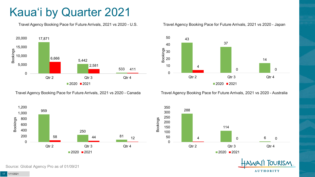### Kaua'i by Quarter 2021

Travel Agency Booking Pace for Future Arrivals, 2021 vs 2020 - U.S.



Travel Agency Booking Pace for Future Arrivals, 2021 vs 2020 - Canada





Travel Agency Booking Pace for Future Arrivals, 2021 vs 2020 - Australia





**TOURISM AUTHORITY** 

Source: Global Agency Pro as of 01/09/21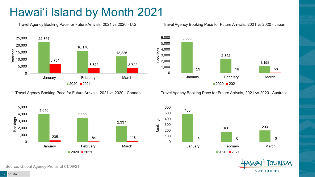### Hawai'i Island by Month 2021

Travel Agency Booking Pace for Future Arrivals, 2021 vs 2020 - U.S.



Travel Agency Booking Pace for Future Arrivals, 2021 vs 2020 - Canada



Travel Agency Booking Pace for Future Arrivals, 2021 vs 2020 - Australia

600



488 180 203 4 0 0 0 0 100 200 300 400 500 January **February** February March  $2020$  2021



Source: Global Agency Pro as of 01/09/21

Travel Agency Booking Pace for Future Arrivals, 2021 vs 2020 - Japan